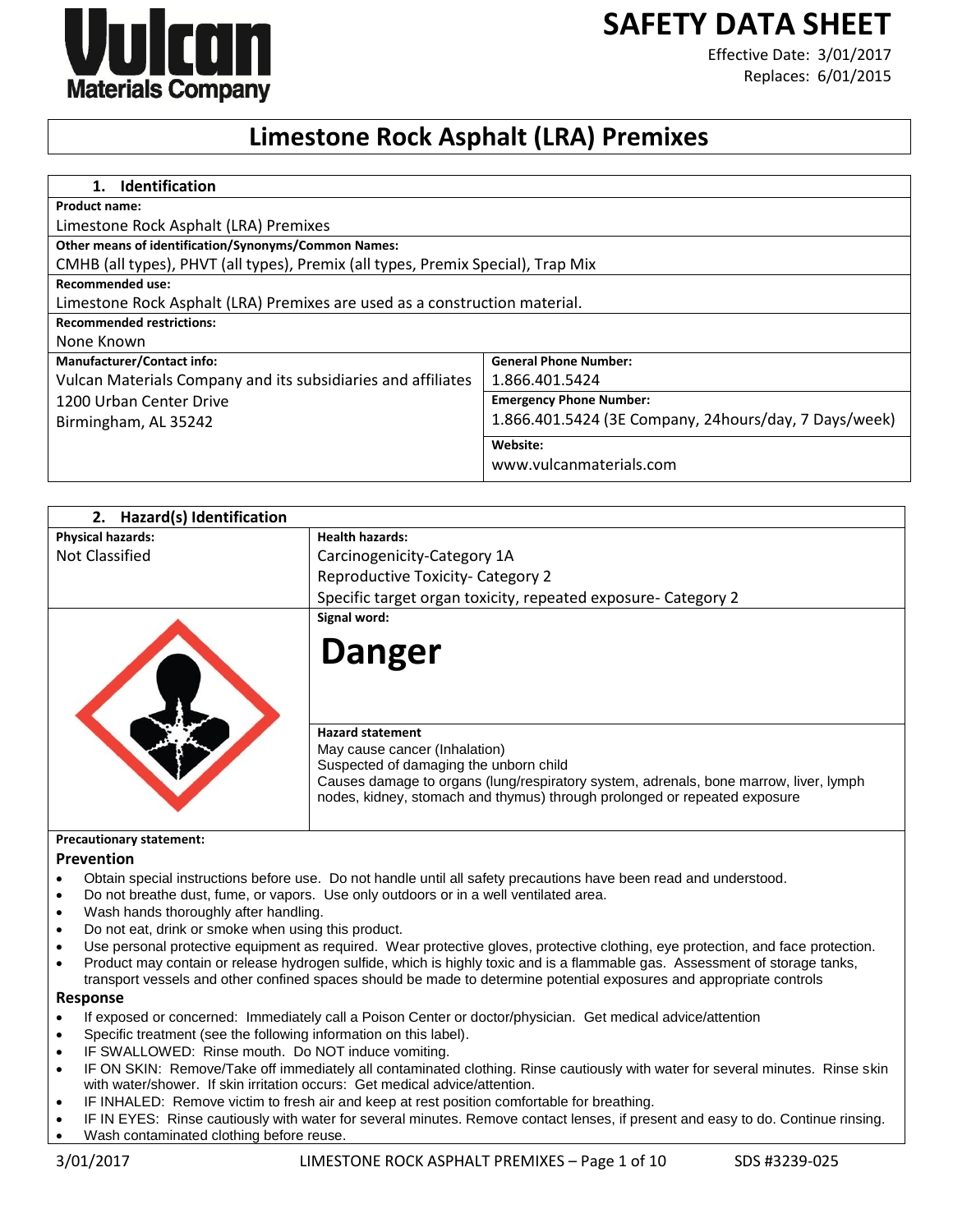

# **SAFETY DATA SHEET**

Effective Date: 3/01/2017 Replaces: 6/01/2015

## **Limestone Rock Asphalt (LRA) Premixes**

| <b>Identification</b><br>1.                                                      |                                                       |
|----------------------------------------------------------------------------------|-------------------------------------------------------|
| <b>Product name:</b>                                                             |                                                       |
| Limestone Rock Asphalt (LRA) Premixes                                            |                                                       |
| <b>Other means of identification/Synonyms/Common Names:</b>                      |                                                       |
| CMHB (all types), PHVT (all types), Premix (all types, Premix Special), Trap Mix |                                                       |
| <b>Recommended use:</b>                                                          |                                                       |
| Limestone Rock Asphalt (LRA) Premixes are used as a construction material.       |                                                       |
| <b>Recommended restrictions:</b>                                                 |                                                       |
| None Known                                                                       |                                                       |
| <b>Manufacturer/Contact info:</b>                                                | <b>General Phone Number:</b>                          |
| Vulcan Materials Company and its subsidiaries and affiliates                     | 1.866.401.5424                                        |
| 1200 Urban Center Drive                                                          | <b>Emergency Phone Number:</b>                        |
| Birmingham, AL 35242                                                             | 1.866.401.5424 (3E Company, 24hours/day, 7 Days/week) |
|                                                                                  | Website:                                              |
|                                                                                  | www.vulcanmaterials.com                               |

| 2. Hazard(s) Identification |                                                                                                                                                                                                                                                                          |
|-----------------------------|--------------------------------------------------------------------------------------------------------------------------------------------------------------------------------------------------------------------------------------------------------------------------|
| <b>Physical hazards:</b>    | <b>Health hazards:</b>                                                                                                                                                                                                                                                   |
| Not Classified              | Carcinogenicity-Category 1A                                                                                                                                                                                                                                              |
|                             | <b>Reproductive Toxicity- Category 2</b>                                                                                                                                                                                                                                 |
|                             | Specific target organ toxicity, repeated exposure- Category 2                                                                                                                                                                                                            |
|                             | Signal word:                                                                                                                                                                                                                                                             |
| <b>Danger</b>               |                                                                                                                                                                                                                                                                          |
|                             | <b>Hazard statement</b><br>May cause cancer (Inhalation)<br>Suspected of damaging the unborn child<br>Causes damage to organs (lung/respiratory system, adrenals, bone marrow, liver, lymph<br>nodes, kidney, stomach and thymus) through prolonged or repeated exposure |

#### **Precautionary statement:**

#### **Prevention**

- Obtain special instructions before use. Do not handle until all safety precautions have been read and understood.
- Do not breathe dust, fume, or vapors. Use only outdoors or in a well ventilated area.
- Wash hands thoroughly after handling.
- Do not eat, drink or smoke when using this product.
- Use personal protective equipment as required. Wear protective gloves, protective clothing, eye protection, and face protection.
- Product may contain or release hydrogen sulfide, which is highly toxic and is a flammable gas. Assessment of storage tanks, transport vessels and other confined spaces should be made to determine potential exposures and appropriate controls

#### **Response**

- If exposed or concerned: Immediately call a Poison Center or doctor/physician. Get medical advice/attention
- Specific treatment (see the following information on this label).
- IF SWALLOWED: Rinse mouth. Do NOT induce vomiting.
- IF ON SKIN: Remove/Take off immediately all contaminated clothing. Rinse cautiously with water for several minutes. Rinse skin with water/shower. If skin irritation occurs: Get medical advice/attention.
- IF INHALED: Remove victim to fresh air and keep at rest position comfortable for breathing.
- IF IN EYES: Rinse cautiously with water for several minutes. Remove contact lenses, if present and easy to do. Continue rinsing.
- Wash contaminated clothing before reuse.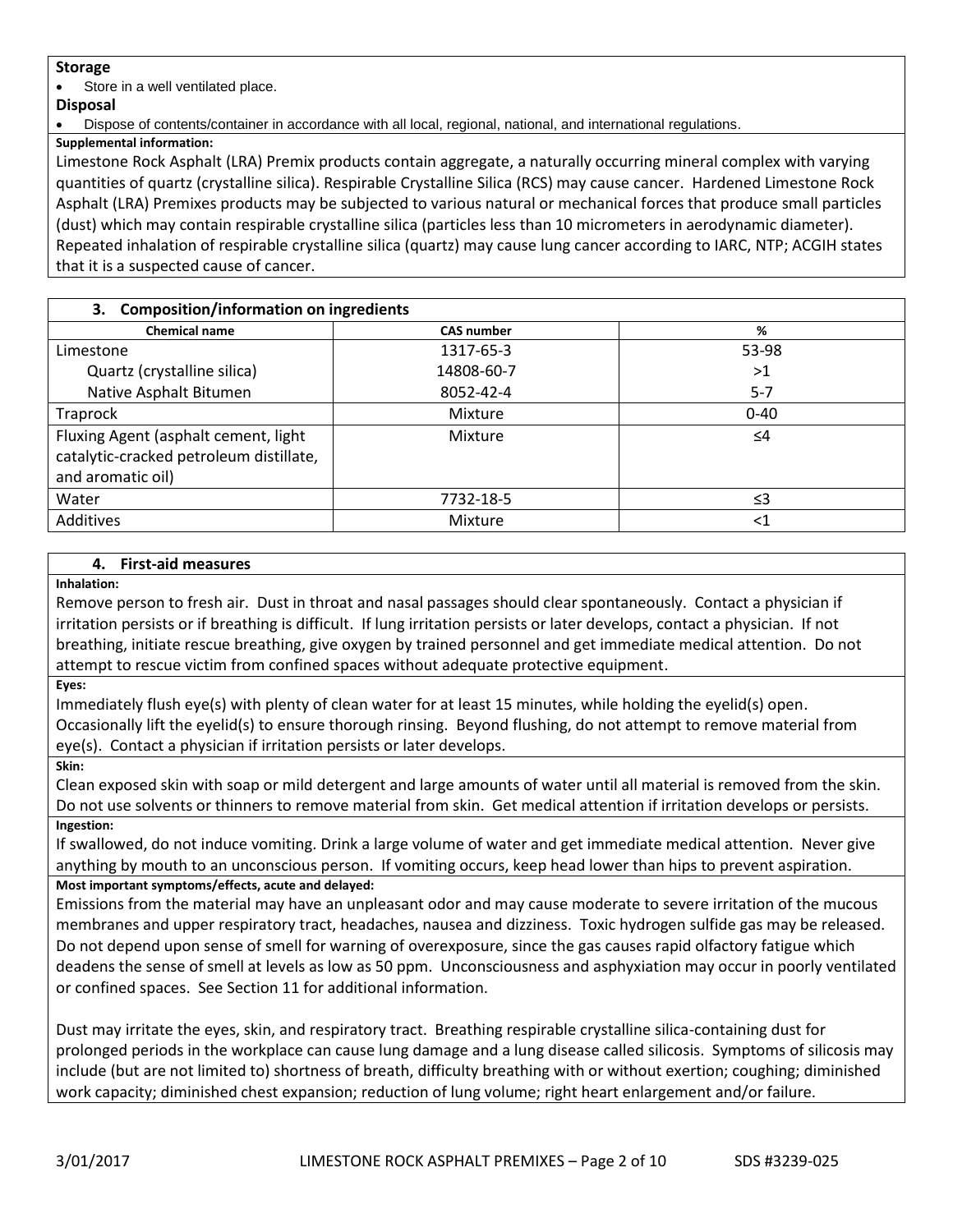### **Storage**

Store in a well ventilated place.

#### **Disposal**

Dispose of contents/container in accordance with all local, regional, national, and international regulations.

**Supplemental information:**

Limestone Rock Asphalt (LRA) Premix products contain aggregate, a naturally occurring mineral complex with varying quantities of quartz (crystalline silica). Respirable Crystalline Silica (RCS) may cause cancer. Hardened Limestone Rock Asphalt (LRA) Premixes products may be subjected to various natural or mechanical forces that produce small particles (dust) which may contain respirable crystalline silica (particles less than 10 micrometers in aerodynamic diameter). Repeated inhalation of respirable crystalline silica (quartz) may cause lung cancer according to IARC, NTP; ACGIH states that it is a suspected cause of cancer.

## **3. Composition/information on ingredients**

| <b>CAS number</b> | %        |  |
|-------------------|----------|--|
| 1317-65-3         | 53-98    |  |
| 14808-60-7        | >1       |  |
| 8052-42-4         | $5 - 7$  |  |
| Mixture           | $0 - 40$ |  |
| Mixture           | ≤4       |  |
| 7732-18-5         | ≤3       |  |
| Mixture           | $<$ 1    |  |
|                   |          |  |

## **4. First-aid measures**

**Inhalation:**

Remove person to fresh air. Dust in throat and nasal passages should clear spontaneously. Contact a physician if irritation persists or if breathing is difficult. If lung irritation persists or later develops, contact a physician. If not breathing, initiate rescue breathing, give oxygen by trained personnel and get immediate medical attention. Do not attempt to rescue victim from confined spaces without adequate protective equipment.

**Eyes:**

Immediately flush eye(s) with plenty of clean water for at least 15 minutes, while holding the eyelid(s) open. Occasionally lift the eyelid(s) to ensure thorough rinsing. Beyond flushing, do not attempt to remove material from eye(s). Contact a physician if irritation persists or later develops.

**Skin:**

Clean exposed skin with soap or mild detergent and large amounts of water until all material is removed from the skin. Do not use solvents or thinners to remove material from skin. Get medical attention if irritation develops or persists. **Ingestion:**

If swallowed, do not induce vomiting. Drink a large volume of water and get immediate medical attention. Never give anything by mouth to an unconscious person. If vomiting occurs, keep head lower than hips to prevent aspiration.

## **Most important symptoms/effects, acute and delayed:**

Emissions from the material may have an unpleasant odor and may cause moderate to severe irritation of the mucous membranes and upper respiratory tract, headaches, nausea and dizziness. Toxic hydrogen sulfide gas may be released. Do not depend upon sense of smell for warning of overexposure, since the gas causes rapid olfactory fatigue which deadens the sense of smell at levels as low as 50 ppm. Unconsciousness and asphyxiation may occur in poorly ventilated or confined spaces. See Section 11 for additional information.

Dust may irritate the eyes, skin, and respiratory tract. Breathing respirable crystalline silica-containing dust for prolonged periods in the workplace can cause lung damage and a lung disease called silicosis. Symptoms of silicosis may include (but are not limited to) shortness of breath, difficulty breathing with or without exertion; coughing; diminished work capacity; diminished chest expansion; reduction of lung volume; right heart enlargement and/or failure.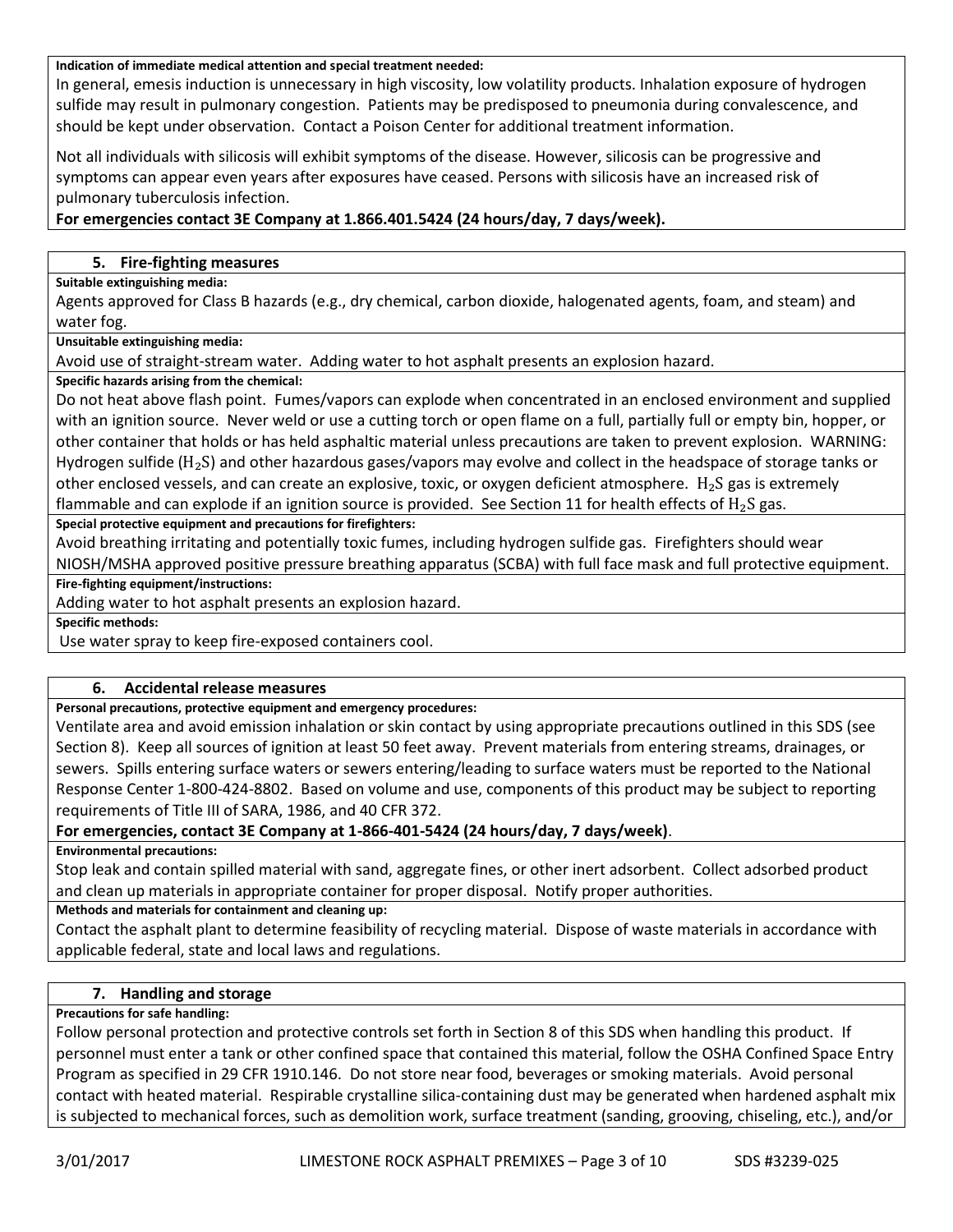#### **Indication of immediate medical attention and special treatment needed:**

In general, emesis induction is unnecessary in high viscosity, low volatility products. Inhalation exposure of hydrogen sulfide may result in pulmonary congestion. Patients may be predisposed to pneumonia during convalescence, and should be kept under observation. Contact a Poison Center for additional treatment information.

Not all individuals with silicosis will exhibit symptoms of the disease. However, silicosis can be progressive and symptoms can appear even years after exposures have ceased. Persons with silicosis have an increased risk of pulmonary tuberculosis infection.

## **For emergencies contact 3E Company at 1.866.401.5424 (24 hours/day, 7 days/week).**

### **5. Fire-fighting measures**

#### **Suitable extinguishing media:**

Agents approved for Class B hazards (e.g., dry chemical, carbon dioxide, halogenated agents, foam, and steam) and water fog.

**Unsuitable extinguishing media:**

Avoid use of straight-stream water. Adding water to hot asphalt presents an explosion hazard.

**Specific hazards arising from the chemical:**

Do not heat above flash point. Fumes/vapors can explode when concentrated in an enclosed environment and supplied with an ignition source. Never weld or use a cutting torch or open flame on a full, partially full or empty bin, hopper, or other container that holds or has held asphaltic material unless precautions are taken to prevent explosion. WARNING: Hydrogen sulfide ( $H_2S$ ) and other hazardous gases/vapors may evolve and collect in the headspace of storage tanks or other enclosed vessels, and can create an explosive, toxic, or oxygen deficient atmosphere.  $H_2S$  gas is extremely flammable and can explode if an ignition source is provided. See Section 11 for health effects of  $H_2S$  gas.

### **Special protective equipment and precautions for firefighters:**

Avoid breathing irritating and potentially toxic fumes, including hydrogen sulfide gas. Firefighters should wear NIOSH/MSHA approved positive pressure breathing apparatus (SCBA) with full face mask and full protective equipment.

**Fire-fighting equipment/instructions:**

Adding water to hot asphalt presents an explosion hazard.

**Specific methods:**

Use water spray to keep fire-exposed containers cool.

## **6. Accidental release measures**

**Personal precautions, protective equipment and emergency procedures:**

Ventilate area and avoid emission inhalation or skin contact by using appropriate precautions outlined in this SDS (see Section 8). Keep all sources of ignition at least 50 feet away. Prevent materials from entering streams, drainages, or sewers. Spills entering surface waters or sewers entering/leading to surface waters must be reported to the National Response Center 1-800-424-8802. Based on volume and use, components of this product may be subject to reporting requirements of Title III of SARA, 1986, and 40 CFR 372.

## **For emergencies, contact 3E Company at 1-866-401-5424 (24 hours/day, 7 days/week)**.

**Environmental precautions:**

Stop leak and contain spilled material with sand, aggregate fines, or other inert adsorbent. Collect adsorbed product and clean up materials in appropriate container for proper disposal. Notify proper authorities.

#### **Methods and materials for containment and cleaning up:**

Contact the asphalt plant to determine feasibility of recycling material. Dispose of waste materials in accordance with applicable federal, state and local laws and regulations.

## **7. Handling and storage**

## **Precautions for safe handling:**

Follow personal protection and protective controls set forth in Section 8 of this SDS when handling this product. If personnel must enter a tank or other confined space that contained this material, follow the OSHA Confined Space Entry Program as specified in 29 CFR 1910.146. Do not store near food, beverages or smoking materials. Avoid personal contact with heated material. Respirable crystalline silica-containing dust may be generated when hardened asphalt mix is subjected to mechanical forces, such as demolition work, surface treatment (sanding, grooving, chiseling, etc.), and/or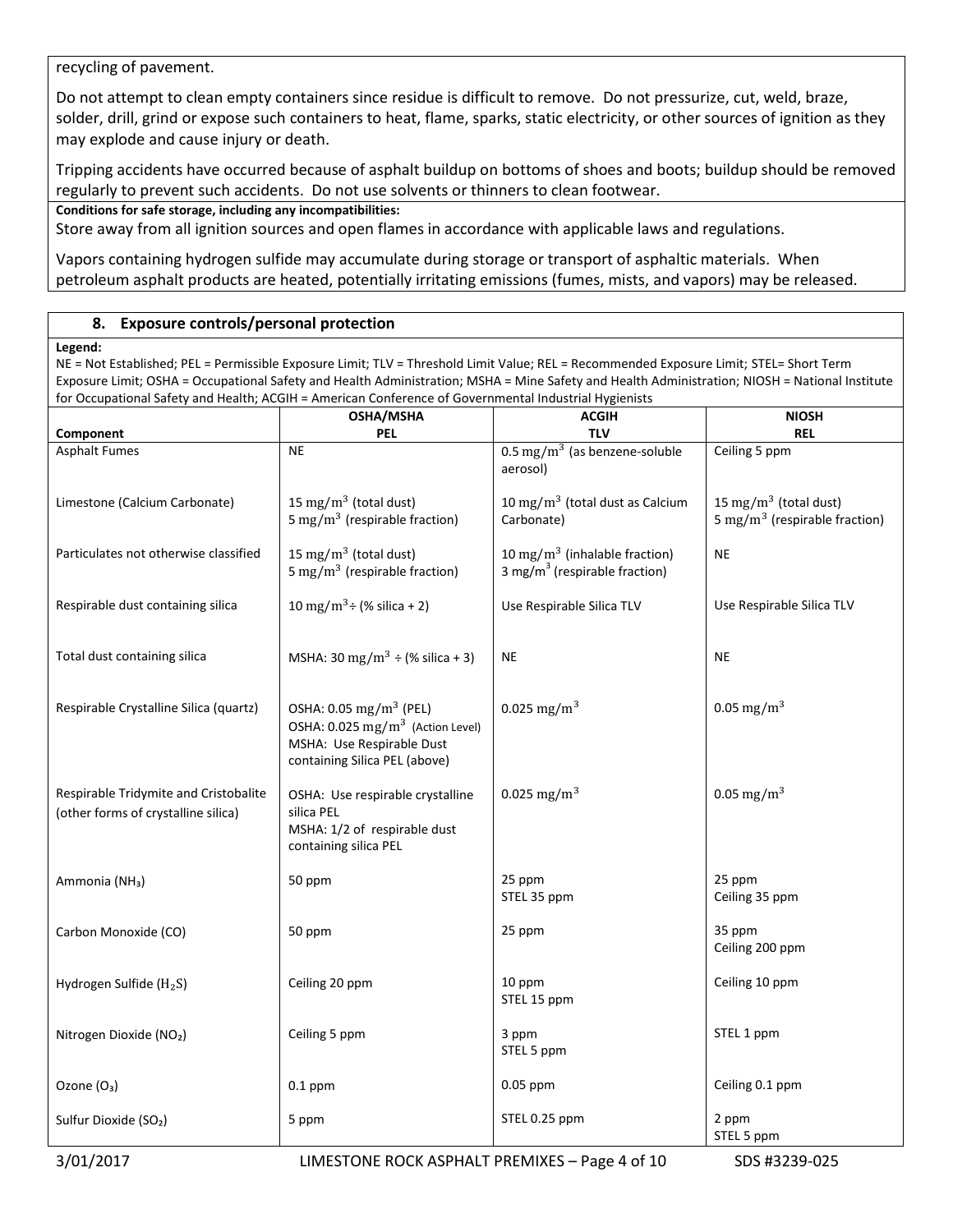recycling of pavement.

Do not attempt to clean empty containers since residue is difficult to remove. Do not pressurize, cut, weld, braze, solder, drill, grind or expose such containers to heat, flame, sparks, static electricity, or other sources of ignition as they may explode and cause injury or death.

Tripping accidents have occurred because of asphalt buildup on bottoms of shoes and boots; buildup should be removed regularly to prevent such accidents. Do not use solvents or thinners to clean footwear.

**Conditions for safe storage, including any incompatibilities:**

Store away from all ignition sources and open flames in accordance with applicable laws and regulations.

Vapors containing hydrogen sulfide may accumulate during storage or transport of asphaltic materials. When petroleum asphalt products are heated, potentially irritating emissions (fumes, mists, and vapors) may be released.

### **8. Exposure controls/personal protection**

#### **Legend:**

NE = Not Established; PEL = Permissible Exposure Limit; TLV = Threshold Limit Value; REL = Recommended Exposure Limit; STEL= Short Term Exposure Limit; OSHA = Occupational Safety and Health Administration; MSHA = Mine Safety and Health Administration; NIOSH = National Institute for Occupational Safety and Health; ACGIH = American Conference of Governmental Industrial Hygienists

|                                                                              | OSHA/MSHA                                                                                                                                        | <b>ACGIH</b>                                                                           | <b>NIOSH</b>                                                                   |
|------------------------------------------------------------------------------|--------------------------------------------------------------------------------------------------------------------------------------------------|----------------------------------------------------------------------------------------|--------------------------------------------------------------------------------|
| Component                                                                    | PEL                                                                                                                                              | <b>TLV</b>                                                                             | <b>REL</b>                                                                     |
| <b>Asphalt Fumes</b>                                                         | <b>NE</b>                                                                                                                                        | $0.5 \text{ mg/m}^3$ (as benzene-soluble<br>aerosol)                                   | Ceiling 5 ppm                                                                  |
| Limestone (Calcium Carbonate)                                                | 15 mg/m <sup>3</sup> (total dust)<br>5 mg/m <sup>3</sup> (respirable fraction)                                                                   | 10 mg/m <sup>3</sup> (total dust as Calcium<br>Carbonate)                              | 15 mg/m <sup>3</sup> (total dust)<br>5 mg/m <sup>3</sup> (respirable fraction) |
| Particulates not otherwise classified                                        | 15 mg/m <sup>3</sup> (total dust)<br>5 mg/m <sup>3</sup> (respirable fraction)                                                                   | 10 mg/m <sup>3</sup> (inhalable fraction)<br>3 mg/m <sup>3</sup> (respirable fraction) | <b>NE</b>                                                                      |
| Respirable dust containing silica                                            | 10 mg/m <sup>3</sup> ÷ (% silica + 2)                                                                                                            | Use Respirable Silica TLV                                                              | Use Respirable Silica TLV                                                      |
| Total dust containing silica                                                 | MSHA: 30 mg/m <sup>3</sup> ÷ (% silica + 3)                                                                                                      | $\sf NE$                                                                               | $\sf NE$                                                                       |
| Respirable Crystalline Silica (quartz)                                       | OSHA: 0.05 mg/m <sup>3</sup> (PEL)<br>OSHA: 0.025 mg/m <sup>3</sup> (Action Level)<br>MSHA: Use Respirable Dust<br>containing Silica PEL (above) | $0.025$ mg/m <sup>3</sup>                                                              | 0.05 mg/m <sup>3</sup>                                                         |
| Respirable Tridymite and Cristobalite<br>(other forms of crystalline silica) | OSHA: Use respirable crystalline<br>silica PEL<br>MSHA: 1/2 of respirable dust<br>containing silica PEL                                          | 0.025 mg/m <sup>3</sup>                                                                | 0.05 mg/m <sup>3</sup>                                                         |
| Ammonia (NH <sub>3</sub> )                                                   | 50 ppm                                                                                                                                           | 25 ppm<br>STEL 35 ppm                                                                  | 25 ppm<br>Ceiling 35 ppm                                                       |
| Carbon Monoxide (CO)                                                         | 50 ppm                                                                                                                                           | 25 ppm                                                                                 | 35 ppm<br>Ceiling 200 ppm                                                      |
| Hydrogen Sulfide (H <sub>2</sub> S)                                          | Ceiling 20 ppm                                                                                                                                   | 10 ppm<br>STEL 15 ppm                                                                  | Ceiling 10 ppm                                                                 |
| Nitrogen Dioxide (NO <sub>2</sub> )                                          | Ceiling 5 ppm                                                                                                                                    | 3 ppm<br>STEL 5 ppm                                                                    | STEL 1 ppm                                                                     |
| Ozone (O <sub>3</sub> )                                                      | $0.1$ ppm                                                                                                                                        | $0.05$ ppm                                                                             | Ceiling 0.1 ppm                                                                |
| Sulfur Dioxide (SO <sub>2</sub> )                                            | 5 ppm                                                                                                                                            | STEL 0.25 ppm                                                                          | 2 ppm<br>STEL 5 ppm                                                            |
| 3/01/2017                                                                    | LIMESTONE ROCK ASPHALT PREMIXES - Page 4 of 10                                                                                                   |                                                                                        | SDS #3239-025                                                                  |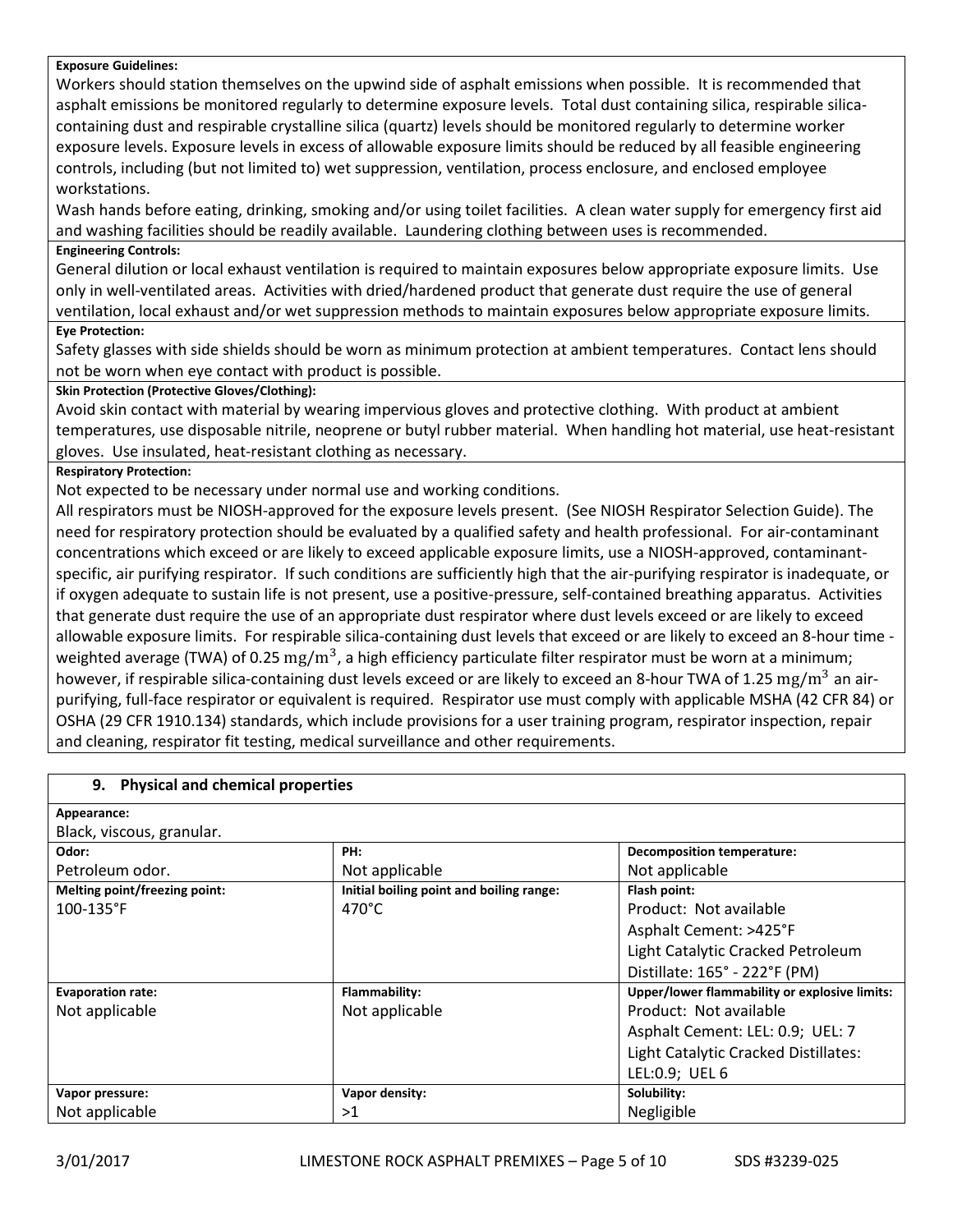#### **Exposure Guidelines:**

Workers should station themselves on the upwind side of asphalt emissions when possible. It is recommended that asphalt emissions be monitored regularly to determine exposure levels. Total dust containing silica, respirable silicacontaining dust and respirable crystalline silica (quartz) levels should be monitored regularly to determine worker exposure levels. Exposure levels in excess of allowable exposure limits should be reduced by all feasible engineering controls, including (but not limited to) wet suppression, ventilation, process enclosure, and enclosed employee workstations.

Wash hands before eating, drinking, smoking and/or using toilet facilities. A clean water supply for emergency first aid and washing facilities should be readily available. Laundering clothing between uses is recommended.

#### **Engineering Controls:**

General dilution or local exhaust ventilation is required to maintain exposures below appropriate exposure limits. Use only in well-ventilated areas. Activities with dried/hardened product that generate dust require the use of general ventilation, local exhaust and/or wet suppression methods to maintain exposures below appropriate exposure limits.

## **Eye Protection:**

Safety glasses with side shields should be worn as minimum protection at ambient temperatures. Contact lens should not be worn when eye contact with product is possible.

#### **Skin Protection (Protective Gloves/Clothing):**

Avoid skin contact with material by wearing impervious gloves and protective clothing. With product at ambient temperatures, use disposable nitrile, neoprene or butyl rubber material. When handling hot material, use heat-resistant gloves. Use insulated, heat-resistant clothing as necessary.

#### **Respiratory Protection:**

Not expected to be necessary under normal use and working conditions.

All respirators must be NIOSH-approved for the exposure levels present. (See NIOSH Respirator Selection Guide). The need for respiratory protection should be evaluated by a qualified safety and health professional. For air-contaminant concentrations which exceed or are likely to exceed applicable exposure limits, use a NIOSH-approved, contaminantspecific, air purifying respirator. If such conditions are sufficiently high that the air-purifying respirator is inadequate, or if oxygen adequate to sustain life is not present, use a positive-pressure, self-contained breathing apparatus. Activities that generate dust require the use of an appropriate dust respirator where dust levels exceed or are likely to exceed allowable exposure limits. For respirable silica-containing dust levels that exceed or are likely to exceed an 8-hour time weighted average (TWA) of 0.25  $\rm mg/m^3$ , a high efficiency particulate filter respirator must be worn at a minimum; however, if respirable silica-containing dust levels exceed or are likely to exceed an 8-hour TWA of 1.25 mg/m<sup>3</sup> an airpurifying, full-face respirator or equivalent is required. Respirator use must comply with applicable MSHA (42 CFR 84) or OSHA (29 CFR 1910.134) standards, which include provisions for a user training program, respirator inspection, repair and cleaning, respirator fit testing, medical surveillance and other requirements.

| <b>Physical and chemical properties</b><br>9. |                                          |                                               |
|-----------------------------------------------|------------------------------------------|-----------------------------------------------|
| Appearance:                                   |                                          |                                               |
| Black, viscous, granular.                     |                                          |                                               |
| Odor:                                         | PH:                                      | <b>Decomposition temperature:</b>             |
| Petroleum odor.                               | Not applicable                           | Not applicable                                |
| Melting point/freezing point:                 | Initial boiling point and boiling range: | Flash point:                                  |
| $100 - 135$ °F                                | $470^{\circ}$ C                          | Product: Not available                        |
|                                               |                                          | Asphalt Cement: >425°F                        |
|                                               |                                          | Light Catalytic Cracked Petroleum             |
|                                               |                                          | Distillate: 165° - 222°F (PM)                 |
| <b>Evaporation rate:</b>                      | Flammability:                            | Upper/lower flammability or explosive limits: |
| Not applicable                                | Not applicable                           | Product: Not available                        |
|                                               |                                          | Asphalt Cement: LEL: 0.9; UEL: 7              |
|                                               |                                          | Light Catalytic Cracked Distillates:          |
|                                               |                                          | LEL:0.9; UEL 6                                |
| Vapor pressure:                               | Vapor density:                           | Solubility:                                   |
| Not applicable                                | >1                                       | Negligible                                    |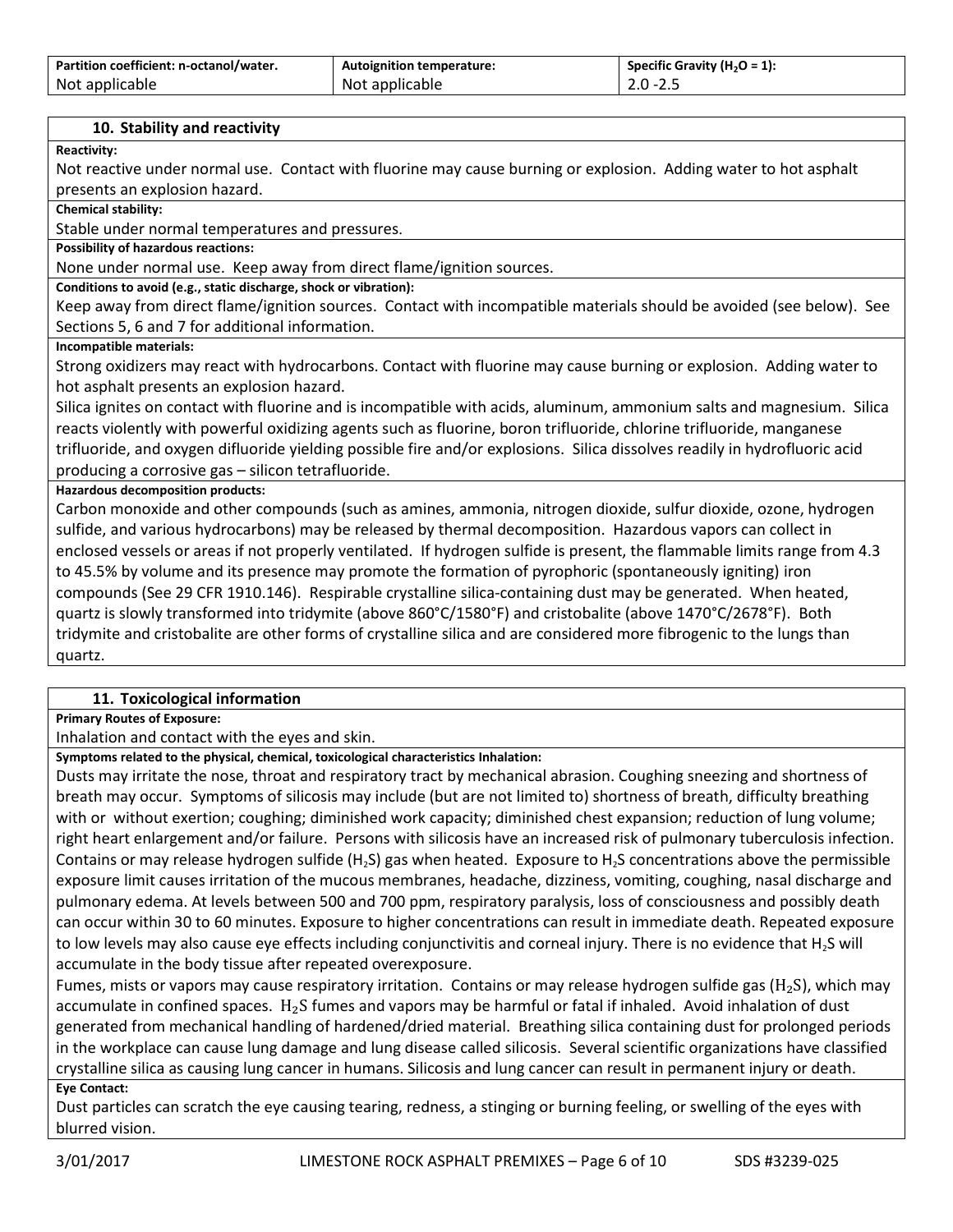| Partition coefficient: n-octanol/water. | <b>Autoignition temperature:</b> | Specific Gravity (H <sub>2</sub> O = 1): |
|-----------------------------------------|----------------------------------|------------------------------------------|
| Not applicable                          | Not applicable                   | $2.0 - 2.5$                              |

#### **10. Stability and reactivity**

**Reactivity:**

Not reactive under normal use. Contact with fluorine may cause burning or explosion. Adding water to hot asphalt presents an explosion hazard.

**Chemical stability:**

Stable under normal temperatures and pressures.

**Possibility of hazardous reactions:**

None under normal use. Keep away from direct flame/ignition sources.

**Conditions to avoid (e.g., static discharge, shock or vibration):**

Keep away from direct flame/ignition sources. Contact with incompatible materials should be avoided (see below). See Sections 5, 6 and 7 for additional information.

#### **Incompatible materials:**

Strong oxidizers may react with hydrocarbons. Contact with fluorine may cause burning or explosion. Adding water to hot asphalt presents an explosion hazard.

Silica ignites on contact with fluorine and is incompatible with acids, aluminum, ammonium salts and magnesium. Silica reacts violently with powerful oxidizing agents such as fluorine, boron trifluoride, chlorine trifluoride, manganese trifluoride, and oxygen difluoride yielding possible fire and/or explosions. Silica dissolves readily in hydrofluoric acid producing a corrosive gas – silicon tetrafluoride.

#### **Hazardous decomposition products:**

Carbon monoxide and other compounds (such as amines, ammonia, nitrogen dioxide, sulfur dioxide, ozone, hydrogen sulfide, and various hydrocarbons) may be released by thermal decomposition. Hazardous vapors can collect in enclosed vessels or areas if not properly ventilated. If hydrogen sulfide is present, the flammable limits range from 4.3 to 45.5% by volume and its presence may promote the formation of pyrophoric (spontaneously igniting) iron compounds (See 29 CFR 1910.146). Respirable crystalline silica-containing dust may be generated. When heated, quartz is slowly transformed into tridymite (above 860°C/1580°F) and cristobalite (above 1470°C/2678°F). Both tridymite and cristobalite are other forms of crystalline silica and are considered more fibrogenic to the lungs than quartz.

#### **11. Toxicological information**

**Primary Routes of Exposure:**

Inhalation and contact with the eyes and skin.

**Symptoms related to the physical, chemical, toxicological characteristics Inhalation:**

Dusts may irritate the nose, throat and respiratory tract by mechanical abrasion. Coughing sneezing and shortness of breath may occur. Symptoms of silicosis may include (but are not limited to) shortness of breath, difficulty breathing with or without exertion; coughing; diminished work capacity; diminished chest expansion; reduction of lung volume; right heart enlargement and/or failure. Persons with silicosis have an increased risk of pulmonary tuberculosis infection. Contains or may release hydrogen sulfide (H<sub>2</sub>S) gas when heated. Exposure to H<sub>2</sub>S concentrations above the permissible exposure limit causes irritation of the mucous membranes, headache, dizziness, vomiting, coughing, nasal discharge and pulmonary edema. At levels between 500 and 700 ppm, respiratory paralysis, loss of consciousness and possibly death can occur within 30 to 60 minutes. Exposure to higher concentrations can result in immediate death. Repeated exposure to low levels may also cause eye effects including conjunctivitis and corneal injury. There is no evidence that H<sub>2</sub>S will accumulate in the body tissue after repeated overexposure.

Fumes, mists or vapors may cause respiratory irritation. Contains or may release hydrogen sulfide gas ( $H_2S$ ), which may accumulate in confined spaces.  $H_2S$  fumes and vapors may be harmful or fatal if inhaled. Avoid inhalation of dust generated from mechanical handling of hardened/dried material. Breathing silica containing dust for prolonged periods in the workplace can cause lung damage and lung disease called silicosis. Several scientific organizations have classified crystalline silica as causing lung cancer in humans. Silicosis and lung cancer can result in permanent injury or death.

#### **Eye Contact:**

Dust particles can scratch the eye causing tearing, redness, a stinging or burning feeling, or swelling of the eyes with blurred vision.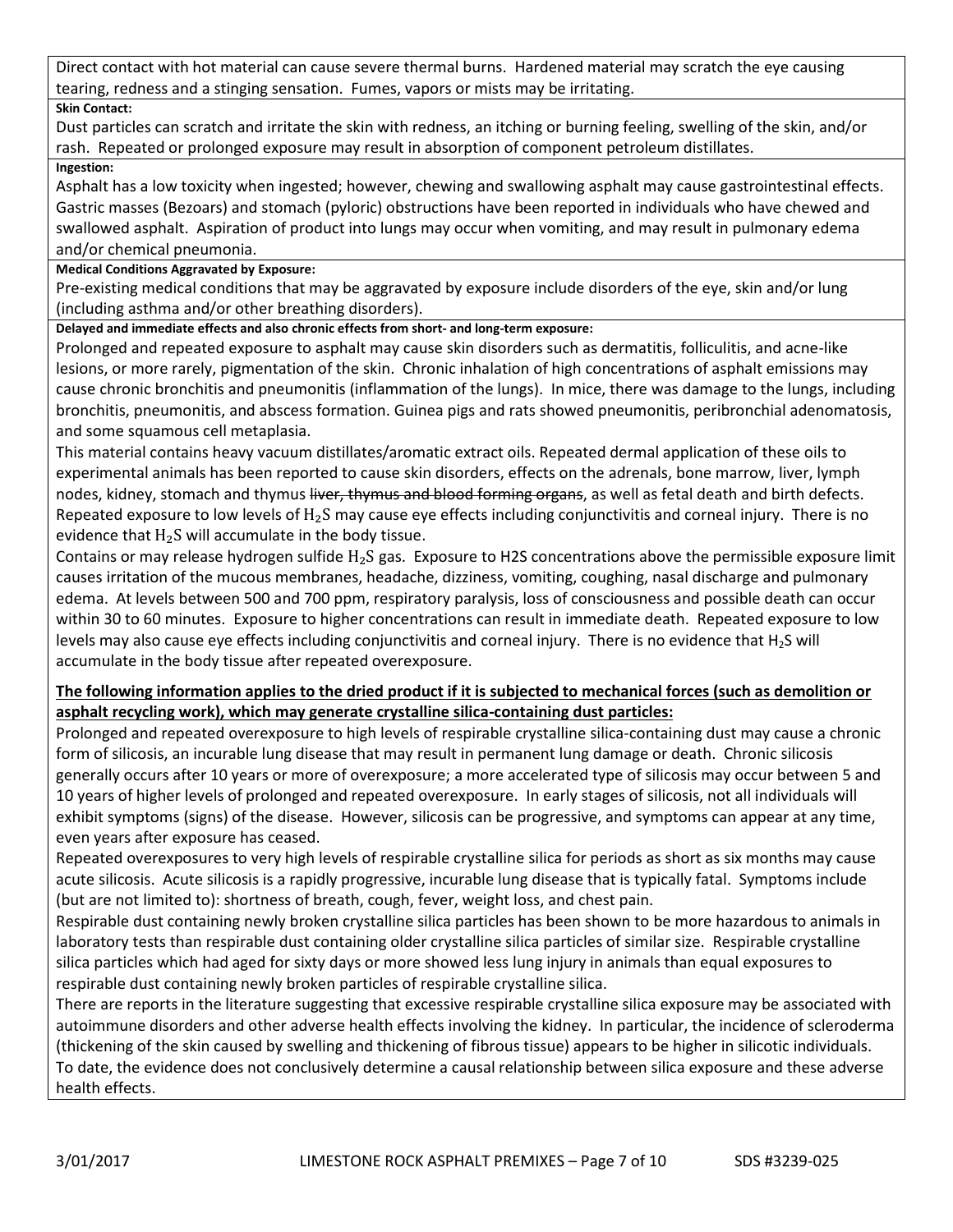Direct contact with hot material can cause severe thermal burns. Hardened material may scratch the eye causing tearing, redness and a stinging sensation. Fumes, vapors or mists may be irritating.

## **Skin Contact:**

Dust particles can scratch and irritate the skin with redness, an itching or burning feeling, swelling of the skin, and/or rash. Repeated or prolonged exposure may result in absorption of component petroleum distillates.

## **Ingestion:**

Asphalt has a low toxicity when ingested; however, chewing and swallowing asphalt may cause gastrointestinal effects. Gastric masses (Bezoars) and stomach (pyloric) obstructions have been reported in individuals who have chewed and swallowed asphalt. Aspiration of product into lungs may occur when vomiting, and may result in pulmonary edema and/or chemical pneumonia.

## **Medical Conditions Aggravated by Exposure:**

Pre-existing medical conditions that may be aggravated by exposure include disorders of the eye, skin and/or lung (including asthma and/or other breathing disorders).

## **Delayed and immediate effects and also chronic effects from short- and long-term exposure:**

Prolonged and repeated exposure to asphalt may cause skin disorders such as dermatitis, folliculitis, and acne-like lesions, or more rarely, pigmentation of the skin. Chronic inhalation of high concentrations of asphalt emissions may cause chronic bronchitis and pneumonitis (inflammation of the lungs). In mice, there was damage to the lungs, including bronchitis, pneumonitis, and abscess formation. Guinea pigs and rats showed pneumonitis, peribronchial adenomatosis, and some squamous cell metaplasia.

This material contains heavy vacuum distillates/aromatic extract oils. Repeated dermal application of these oils to experimental animals has been reported to cause skin disorders, effects on the adrenals, bone marrow, liver, lymph nodes, kidney, stomach and thymus liver, thymus and blood forming organs, as well as fetal death and birth defects. Repeated exposure to low levels of  $H_2S$  may cause eye effects including conjunctivitis and corneal injury. There is no evidence that  $H_2S$  will accumulate in the body tissue.

Contains or may release hydrogen sulfide  $H_2S$  gas. Exposure to H2S concentrations above the permissible exposure limit causes irritation of the mucous membranes, headache, dizziness, vomiting, coughing, nasal discharge and pulmonary edema. At levels between 500 and 700 ppm, respiratory paralysis, loss of consciousness and possible death can occur within 30 to 60 minutes. Exposure to higher concentrations can result in immediate death. Repeated exposure to low levels may also cause eye effects including conjunctivitis and corneal injury. There is no evidence that  $H_2S$  will accumulate in the body tissue after repeated overexposure.

## **The following information applies to the dried product if it is subjected to mechanical forces (such as demolition or asphalt recycling work), which may generate crystalline silica-containing dust particles:**

Prolonged and repeated overexposure to high levels of respirable crystalline silica-containing dust may cause a chronic form of silicosis, an incurable lung disease that may result in permanent lung damage or death. Chronic silicosis generally occurs after 10 years or more of overexposure; a more accelerated type of silicosis may occur between 5 and 10 years of higher levels of prolonged and repeated overexposure. In early stages of silicosis, not all individuals will exhibit symptoms (signs) of the disease. However, silicosis can be progressive, and symptoms can appear at any time, even years after exposure has ceased.

Repeated overexposures to very high levels of respirable crystalline silica for periods as short as six months may cause acute silicosis. Acute silicosis is a rapidly progressive, incurable lung disease that is typically fatal. Symptoms include (but are not limited to): shortness of breath, cough, fever, weight loss, and chest pain.

Respirable dust containing newly broken crystalline silica particles has been shown to be more hazardous to animals in laboratory tests than respirable dust containing older crystalline silica particles of similar size. Respirable crystalline silica particles which had aged for sixty days or more showed less lung injury in animals than equal exposures to respirable dust containing newly broken particles of respirable crystalline silica.

There are reports in the literature suggesting that excessive respirable crystalline silica exposure may be associated with autoimmune disorders and other adverse health effects involving the kidney. In particular, the incidence of scleroderma (thickening of the skin caused by swelling and thickening of fibrous tissue) appears to be higher in silicotic individuals. To date, the evidence does not conclusively determine a causal relationship between silica exposure and these adverse health effects.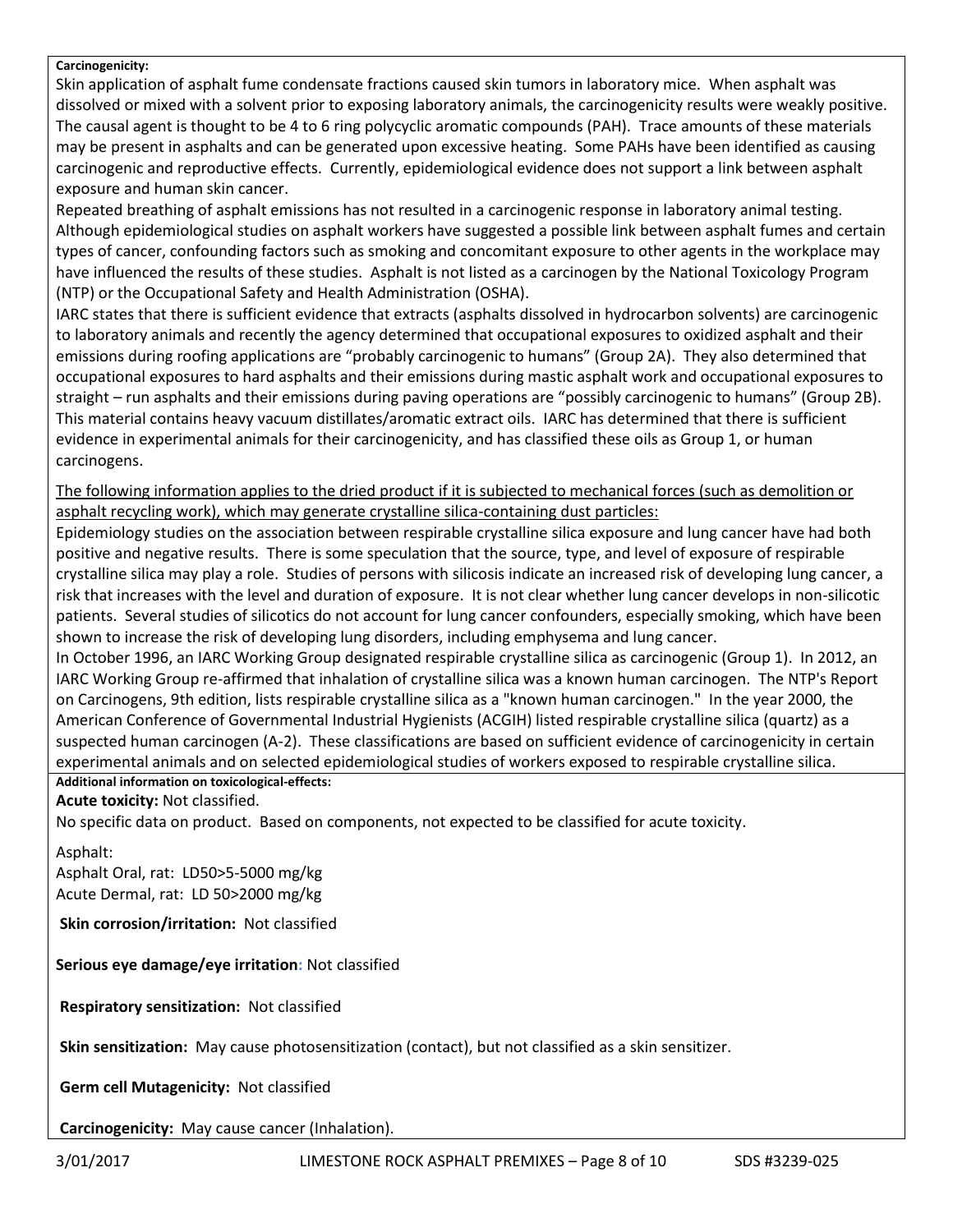#### **Carcinogenicity:**

Skin application of asphalt fume condensate fractions caused skin tumors in laboratory mice. When asphalt was dissolved or mixed with a solvent prior to exposing laboratory animals, the carcinogenicity results were weakly positive. The causal agent is thought to be 4 to 6 ring polycyclic aromatic compounds (PAH). Trace amounts of these materials may be present in asphalts and can be generated upon excessive heating. Some PAHs have been identified as causing carcinogenic and reproductive effects. Currently, epidemiological evidence does not support a link between asphalt exposure and human skin cancer.

Repeated breathing of asphalt emissions has not resulted in a carcinogenic response in laboratory animal testing. Although epidemiological studies on asphalt workers have suggested a possible link between asphalt fumes and certain types of cancer, confounding factors such as smoking and concomitant exposure to other agents in the workplace may have influenced the results of these studies. Asphalt is not listed as a carcinogen by the National Toxicology Program (NTP) or the Occupational Safety and Health Administration (OSHA).

IARC states that there is sufficient evidence that extracts (asphalts dissolved in hydrocarbon solvents) are carcinogenic to laboratory animals and recently the agency determined that occupational exposures to oxidized asphalt and their emissions during roofing applications are "probably carcinogenic to humans" (Group 2A). They also determined that occupational exposures to hard asphalts and their emissions during mastic asphalt work and occupational exposures to straight – run asphalts and their emissions during paving operations are "possibly carcinogenic to humans" (Group 2B). This material contains heavy vacuum distillates/aromatic extract oils. IARC has determined that there is sufficient evidence in experimental animals for their carcinogenicity, and has classified these oils as Group 1, or human carcinogens.

The following information applies to the dried product if it is subjected to mechanical forces (such as demolition or asphalt recycling work), which may generate crystalline silica-containing dust particles:

Epidemiology studies on the association between respirable crystalline silica exposure and lung cancer have had both positive and negative results. There is some speculation that the source, type, and level of exposure of respirable crystalline silica may play a role. Studies of persons with silicosis indicate an increased risk of developing lung cancer, a risk that increases with the level and duration of exposure. It is not clear whether lung cancer develops in non-silicotic patients. Several studies of silicotics do not account for lung cancer confounders, especially smoking, which have been shown to increase the risk of developing lung disorders, including emphysema and lung cancer.

In October 1996, an IARC Working Group designated respirable crystalline silica as carcinogenic (Group 1). In 2012, an IARC Working Group re-affirmed that inhalation of crystalline silica was a known human carcinogen. The NTP's Report on Carcinogens, 9th edition, lists respirable crystalline silica as a "known human carcinogen." In the year 2000, the American Conference of Governmental Industrial Hygienists (ACGIH) listed respirable crystalline silica (quartz) as a suspected human carcinogen (A-2). These classifications are based on sufficient evidence of carcinogenicity in certain experimental animals and on selected epidemiological studies of workers exposed to respirable crystalline silica.

## **Additional information on toxicological-effects:**

**Acute toxicity:** Not classified.

No specific data on product. Based on components, not expected to be classified for acute toxicity.

#### Asphalt:

Asphalt Oral, rat: LD50>5-5000 mg/kg Acute Dermal, rat: LD 50>2000 mg/kg

**Skin corrosion/irritation:** Not classified

**Serious eye damage/eye irritation:** Not classified

**Respiratory sensitization:** Not classified

**Skin sensitization:** May cause photosensitization (contact), but not classified as a skin sensitizer.

**Germ cell Mutagenicity:** Not classified

**Carcinogenicity:** May cause cancer (Inhalation).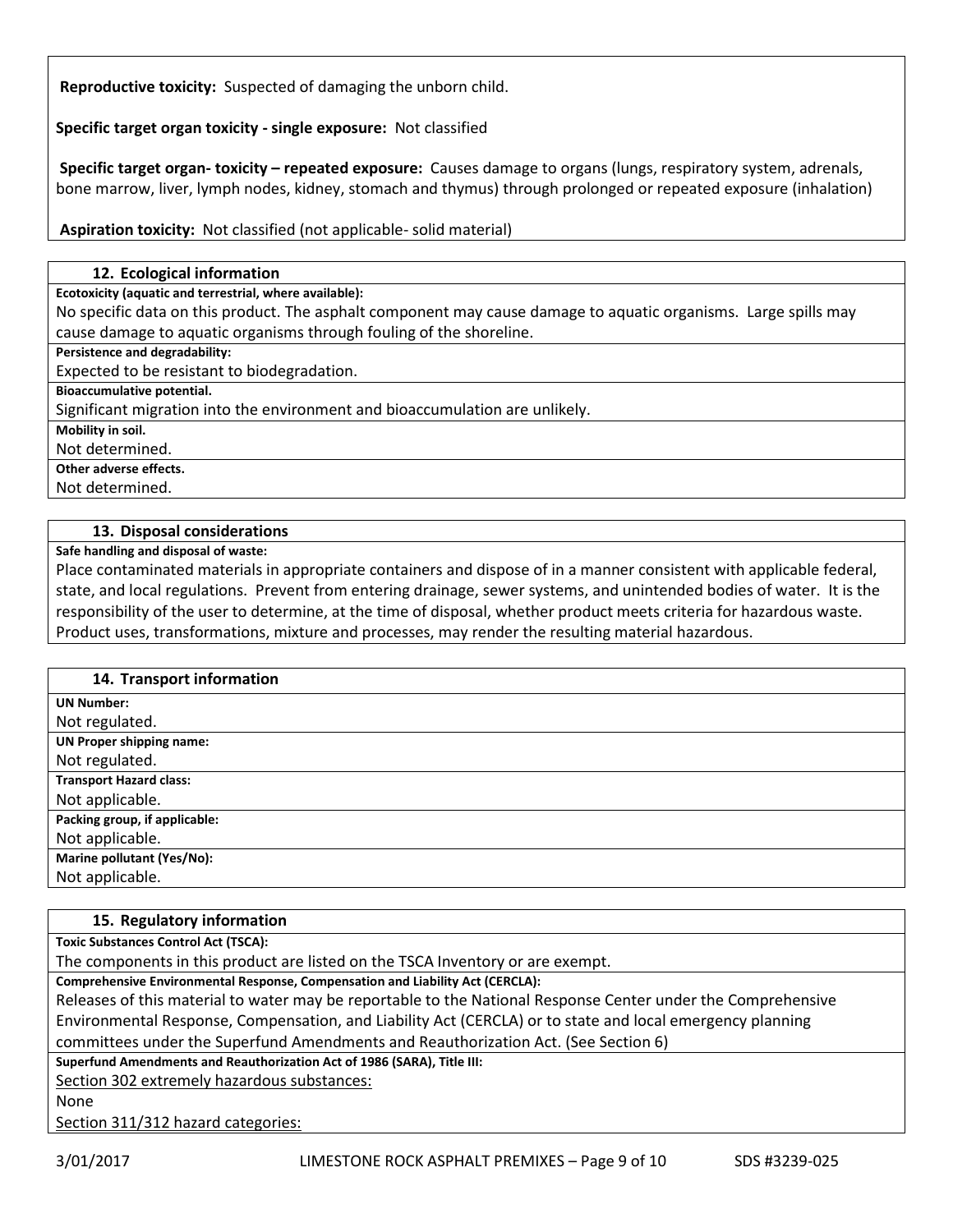**Reproductive toxicity:** Suspected of damaging the unborn child.

**Specific target organ toxicity - single exposure:** Not classified

**Specific target organ- toxicity – repeated exposure:** Causes damage to organs (lungs, respiratory system, adrenals, bone marrow, liver, lymph nodes, kidney, stomach and thymus) through prolonged or repeated exposure (inhalation)

**Aspiration toxicity:** Not classified (not applicable- solid material)

### **12. Ecological information**

**Ecotoxicity (aquatic and terrestrial, where available):**

No specific data on this product. The asphalt component may cause damage to aquatic organisms. Large spills may cause damage to aquatic organisms through fouling of the shoreline.

**Persistence and degradability:**

Expected to be resistant to biodegradation.

**Bioaccumulative potential.**

Significant migration into the environment and bioaccumulation are unlikely.

**Mobility in soil.**

Not determined.

**Other adverse effects.**

Not determined.

## **13. Disposal considerations**

**Safe handling and disposal of waste:**

Place contaminated materials in appropriate containers and dispose of in a manner consistent with applicable federal, state, and local regulations. Prevent from entering drainage, sewer systems, and unintended bodies of water. It is the responsibility of the user to determine, at the time of disposal, whether product meets criteria for hazardous waste. Product uses, transformations, mixture and processes, may render the resulting material hazardous.

## **14. Transport information**

| <b>UN Number:</b>               |
|---------------------------------|
| Not regulated.                  |
| <b>UN Proper shipping name:</b> |
| Not regulated.                  |
| <b>Transport Hazard class:</b>  |
| Not applicable.                 |
| Packing group, if applicable:   |
| Not applicable.                 |
| Marine pollutant (Yes/No):      |
| Not applicable.                 |

#### **15. Regulatory information**

**Toxic Substances Control Act (TSCA):**

The components in this product are listed on the TSCA Inventory or are exempt.

**Comprehensive Environmental Response, Compensation and Liability Act (CERCLA):**

Releases of this material to water may be reportable to the National Response Center under the Comprehensive Environmental Response, Compensation, and Liability Act (CERCLA) or to state and local emergency planning committees under the Superfund Amendments and Reauthorization Act. (See Section 6)

**Superfund Amendments and Reauthorization Act of 1986 (SARA), Title III:**

Section 302 extremely hazardous substances:

None

Section 311/312 hazard categories: